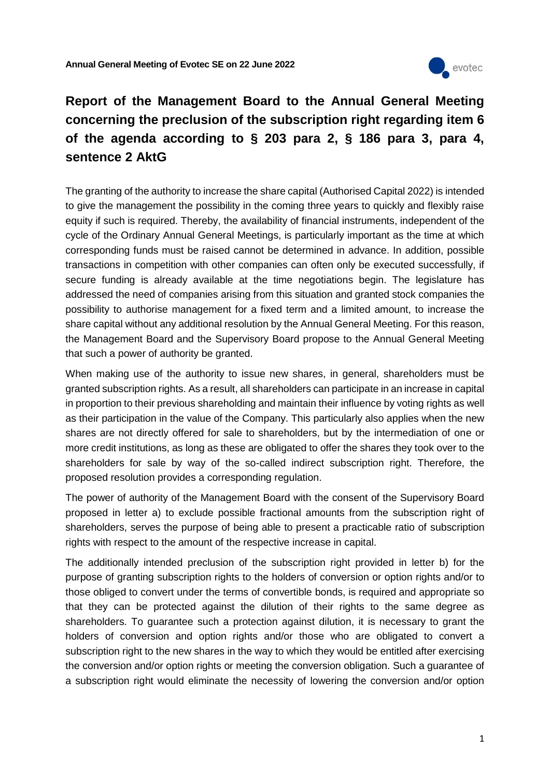

## **Report of the Management Board to the Annual General Meeting concerning the preclusion of the subscription right regarding item 6 of the agenda according to § 203 para 2, § 186 para 3, para 4, sentence 2 AktG**

The granting of the authority to increase the share capital (Authorised Capital 2022) is intended to give the management the possibility in the coming three years to quickly and flexibly raise equity if such is required. Thereby, the availability of financial instruments, independent of the cycle of the Ordinary Annual General Meetings, is particularly important as the time at which corresponding funds must be raised cannot be determined in advance. In addition, possible transactions in competition with other companies can often only be executed successfully, if secure funding is already available at the time negotiations begin. The legislature has addressed the need of companies arising from this situation and granted stock companies the possibility to authorise management for a fixed term and a limited amount, to increase the share capital without any additional resolution by the Annual General Meeting. For this reason, the Management Board and the Supervisory Board propose to the Annual General Meeting that such a power of authority be granted.

When making use of the authority to issue new shares, in general, shareholders must be granted subscription rights. As a result, all shareholders can participate in an increase in capital in proportion to their previous shareholding and maintain their influence by voting rights as well as their participation in the value of the Company. This particularly also applies when the new shares are not directly offered for sale to shareholders, but by the intermediation of one or more credit institutions, as long as these are obligated to offer the shares they took over to the shareholders for sale by way of the so-called indirect subscription right. Therefore, the proposed resolution provides a corresponding regulation.

The power of authority of the Management Board with the consent of the Supervisory Board proposed in letter a) to exclude possible fractional amounts from the subscription right of shareholders, serves the purpose of being able to present a practicable ratio of subscription rights with respect to the amount of the respective increase in capital.

The additionally intended preclusion of the subscription right provided in letter b) for the purpose of granting subscription rights to the holders of conversion or option rights and/or to those obliged to convert under the terms of convertible bonds, is required and appropriate so that they can be protected against the dilution of their rights to the same degree as shareholders. To guarantee such a protection against dilution, it is necessary to grant the holders of conversion and option rights and/or those who are obligated to convert a subscription right to the new shares in the way to which they would be entitled after exercising the conversion and/or option rights or meeting the conversion obligation. Such a guarantee of a subscription right would eliminate the necessity of lowering the conversion and/or option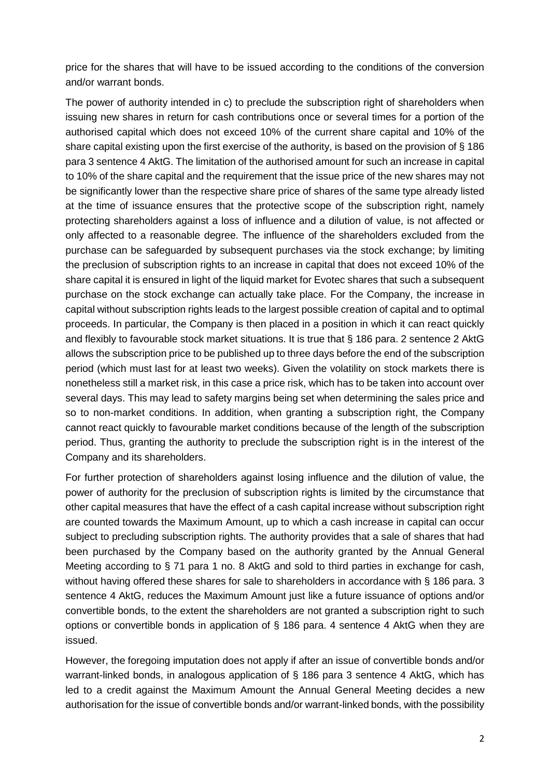price for the shares that will have to be issued according to the conditions of the conversion and/or warrant bonds.

The power of authority intended in c) to preclude the subscription right of shareholders when issuing new shares in return for cash contributions once or several times for a portion of the authorised capital which does not exceed 10% of the current share capital and 10% of the share capital existing upon the first exercise of the authority, is based on the provision of § 186 para 3 sentence 4 AktG. The limitation of the authorised amount for such an increase in capital to 10% of the share capital and the requirement that the issue price of the new shares may not be significantly lower than the respective share price of shares of the same type already listed at the time of issuance ensures that the protective scope of the subscription right, namely protecting shareholders against a loss of influence and a dilution of value, is not affected or only affected to a reasonable degree. The influence of the shareholders excluded from the purchase can be safeguarded by subsequent purchases via the stock exchange; by limiting the preclusion of subscription rights to an increase in capital that does not exceed 10% of the share capital it is ensured in light of the liquid market for Evotec shares that such a subsequent purchase on the stock exchange can actually take place. For the Company, the increase in capital without subscription rights leads to the largest possible creation of capital and to optimal proceeds. In particular, the Company is then placed in a position in which it can react quickly and flexibly to favourable stock market situations. It is true that § 186 para. 2 sentence 2 AktG allows the subscription price to be published up to three days before the end of the subscription period (which must last for at least two weeks). Given the volatility on stock markets there is nonetheless still a market risk, in this case a price risk, which has to be taken into account over several days. This may lead to safety margins being set when determining the sales price and so to non-market conditions. In addition, when granting a subscription right, the Company cannot react quickly to favourable market conditions because of the length of the subscription period. Thus, granting the authority to preclude the subscription right is in the interest of the Company and its shareholders.

For further protection of shareholders against losing influence and the dilution of value, the power of authority for the preclusion of subscription rights is limited by the circumstance that other capital measures that have the effect of a cash capital increase without subscription right are counted towards the Maximum Amount, up to which a cash increase in capital can occur subject to precluding subscription rights. The authority provides that a sale of shares that had been purchased by the Company based on the authority granted by the Annual General Meeting according to § 71 para 1 no. 8 AktG and sold to third parties in exchange for cash, without having offered these shares for sale to shareholders in accordance with § 186 para. 3 sentence 4 AktG, reduces the Maximum Amount just like a future issuance of options and/or convertible bonds, to the extent the shareholders are not granted a subscription right to such options or convertible bonds in application of § 186 para. 4 sentence 4 AktG when they are issued.

However, the foregoing imputation does not apply if after an issue of convertible bonds and/or warrant-linked bonds, in analogous application of § 186 para 3 sentence 4 AktG, which has led to a credit against the Maximum Amount the Annual General Meeting decides a new authorisation for the issue of convertible bonds and/or warrant-linked bonds, with the possibility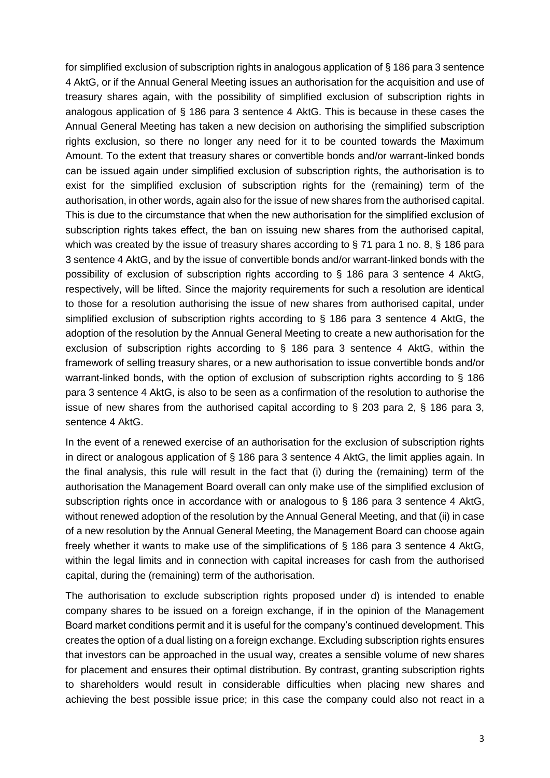for simplified exclusion of subscription rights in analogous application of § 186 para 3 sentence 4 AktG, or if the Annual General Meeting issues an authorisation for the acquisition and use of treasury shares again, with the possibility of simplified exclusion of subscription rights in analogous application of § 186 para 3 sentence 4 AktG. This is because in these cases the Annual General Meeting has taken a new decision on authorising the simplified subscription rights exclusion, so there no longer any need for it to be counted towards the Maximum Amount. To the extent that treasury shares or convertible bonds and/or warrant-linked bonds can be issued again under simplified exclusion of subscription rights, the authorisation is to exist for the simplified exclusion of subscription rights for the (remaining) term of the authorisation, in other words, again also for the issue of new shares from the authorised capital. This is due to the circumstance that when the new authorisation for the simplified exclusion of subscription rights takes effect, the ban on issuing new shares from the authorised capital, which was created by the issue of treasury shares according to § 71 para 1 no. 8, § 186 para 3 sentence 4 AktG, and by the issue of convertible bonds and/or warrant-linked bonds with the possibility of exclusion of subscription rights according to § 186 para 3 sentence 4 AktG, respectively, will be lifted. Since the majority requirements for such a resolution are identical to those for a resolution authorising the issue of new shares from authorised capital, under simplified exclusion of subscription rights according to § 186 para 3 sentence 4 AktG, the adoption of the resolution by the Annual General Meeting to create a new authorisation for the exclusion of subscription rights according to § 186 para 3 sentence 4 AktG, within the framework of selling treasury shares, or a new authorisation to issue convertible bonds and/or warrant-linked bonds, with the option of exclusion of subscription rights according to § 186 para 3 sentence 4 AktG, is also to be seen as a confirmation of the resolution to authorise the issue of new shares from the authorised capital according to  $\S$  203 para 2,  $\S$  186 para 3, sentence 4 AktG.

In the event of a renewed exercise of an authorisation for the exclusion of subscription rights in direct or analogous application of § 186 para 3 sentence 4 AktG, the limit applies again. In the final analysis, this rule will result in the fact that (i) during the (remaining) term of the authorisation the Management Board overall can only make use of the simplified exclusion of subscription rights once in accordance with or analogous to § 186 para 3 sentence 4 AktG, without renewed adoption of the resolution by the Annual General Meeting, and that (ii) in case of a new resolution by the Annual General Meeting, the Management Board can choose again freely whether it wants to make use of the simplifications of § 186 para 3 sentence 4 AktG, within the legal limits and in connection with capital increases for cash from the authorised capital, during the (remaining) term of the authorisation.

The authorisation to exclude subscription rights proposed under d) is intended to enable company shares to be issued on a foreign exchange, if in the opinion of the Management Board market conditions permit and it is useful for the company's continued development. This creates the option of a dual listing on a foreign exchange. Excluding subscription rights ensures that investors can be approached in the usual way, creates a sensible volume of new shares for placement and ensures their optimal distribution. By contrast, granting subscription rights to shareholders would result in considerable difficulties when placing new shares and achieving the best possible issue price; in this case the company could also not react in a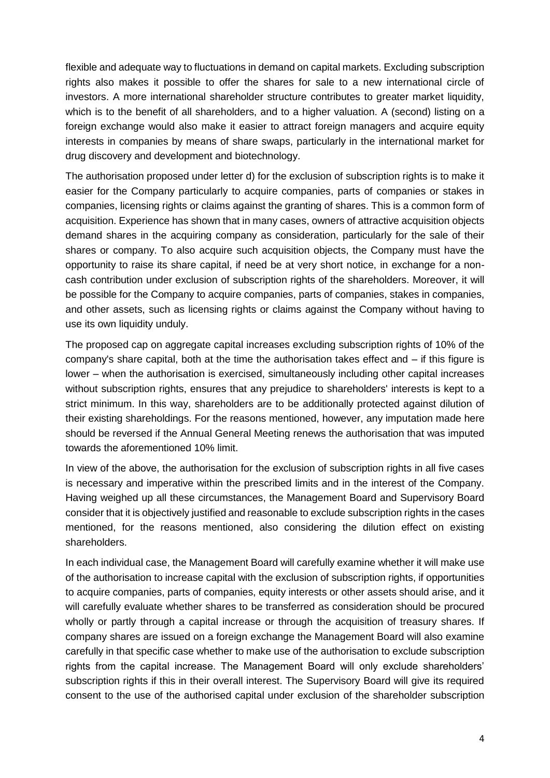flexible and adequate way to fluctuations in demand on capital markets. Excluding subscription rights also makes it possible to offer the shares for sale to a new international circle of investors. A more international shareholder structure contributes to greater market liquidity, which is to the benefit of all shareholders, and to a higher valuation. A (second) listing on a foreign exchange would also make it easier to attract foreign managers and acquire equity interests in companies by means of share swaps, particularly in the international market for drug discovery and development and biotechnology.

The authorisation proposed under letter d) for the exclusion of subscription rights is to make it easier for the Company particularly to acquire companies, parts of companies or stakes in companies, licensing rights or claims against the granting of shares. This is a common form of acquisition. Experience has shown that in many cases, owners of attractive acquisition objects demand shares in the acquiring company as consideration, particularly for the sale of their shares or company. To also acquire such acquisition objects, the Company must have the opportunity to raise its share capital, if need be at very short notice, in exchange for a noncash contribution under exclusion of subscription rights of the shareholders. Moreover, it will be possible for the Company to acquire companies, parts of companies, stakes in companies, and other assets, such as licensing rights or claims against the Company without having to use its own liquidity unduly.

The proposed cap on aggregate capital increases excluding subscription rights of 10% of the company's share capital, both at the time the authorisation takes effect and – if this figure is lower – when the authorisation is exercised, simultaneously including other capital increases without subscription rights, ensures that any prejudice to shareholders' interests is kept to a strict minimum. In this way, shareholders are to be additionally protected against dilution of their existing shareholdings. For the reasons mentioned, however, any imputation made here should be reversed if the Annual General Meeting renews the authorisation that was imputed towards the aforementioned 10% limit.

In view of the above, the authorisation for the exclusion of subscription rights in all five cases is necessary and imperative within the prescribed limits and in the interest of the Company. Having weighed up all these circumstances, the Management Board and Supervisory Board consider that it is objectively justified and reasonable to exclude subscription rights in the cases mentioned, for the reasons mentioned, also considering the dilution effect on existing shareholders.

In each individual case, the Management Board will carefully examine whether it will make use of the authorisation to increase capital with the exclusion of subscription rights, if opportunities to acquire companies, parts of companies, equity interests or other assets should arise, and it will carefully evaluate whether shares to be transferred as consideration should be procured wholly or partly through a capital increase or through the acquisition of treasury shares. If company shares are issued on a foreign exchange the Management Board will also examine carefully in that specific case whether to make use of the authorisation to exclude subscription rights from the capital increase. The Management Board will only exclude shareholders' subscription rights if this in their overall interest. The Supervisory Board will give its required consent to the use of the authorised capital under exclusion of the shareholder subscription